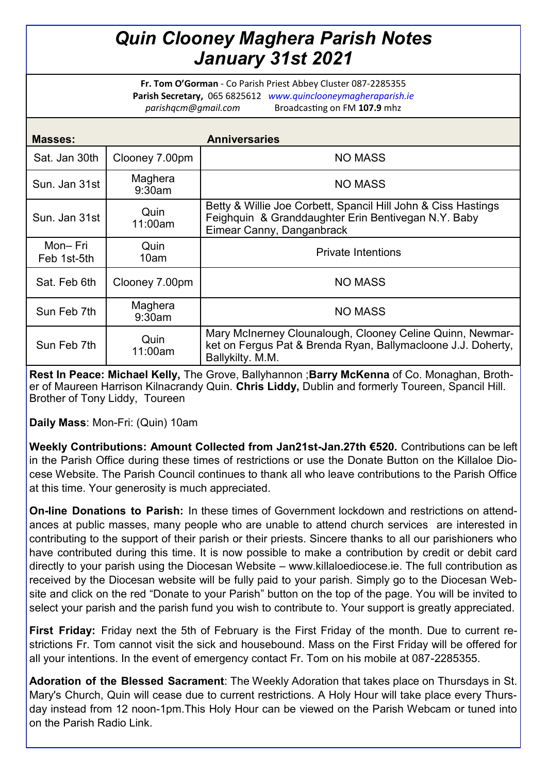## *Quin Clooney Maghera Parish Notes January 31st 2021*

**Fr. Tom O'Gorman** - Co Parish Priest Abbey Cluster 087-2285355 **Parish Secretary,** 065 6825612 *www.quinclooneymagheraparish.ie parishqcm@gmail.com* Broadcasting on FM **107.9** mhz

| Masses:                |                   | <b>Anniversaries</b>                                                                                                                              |
|------------------------|-------------------|---------------------------------------------------------------------------------------------------------------------------------------------------|
| Sat. Jan 30th          | Clooney 7.00pm    | <b>NO MASS</b>                                                                                                                                    |
| Sun. Jan 31st          | Maghera<br>9:30am | <b>NO MASS</b>                                                                                                                                    |
| Sun. Jan 31st          | Quin<br>11:00am   | Betty & Willie Joe Corbett, Spancil Hill John & Ciss Hastings<br>Feighquin & Granddaughter Erin Bentivegan N.Y. Baby<br>Eimear Canny, Danganbrack |
| Mon-Fri<br>Feb 1st-5th | Quin<br>10am      | <b>Private Intentions</b>                                                                                                                         |
| Sat. Feb 6th           | Clooney 7.00pm    | <b>NO MASS</b>                                                                                                                                    |
| Sun Feb 7th            | Maghera<br>9:30am | <b>NO MASS</b>                                                                                                                                    |
| Sun Feb 7th            | Quin<br>11:00am   | Mary McInerney Clounalough, Clooney Celine Quinn, Newmar-<br>ket on Fergus Pat & Brenda Ryan, Ballymacloone J.J. Doherty,<br>Ballykilty. M.M.     |

**Rest In Peace: Michael Kelly,** The Grove, Ballyhannon ;**Barry McKenna** of Co. Monaghan, Brother of Maureen Harrison Kilnacrandy Quin. **Chris Liddy,** Dublin and formerly Toureen, Spancil Hill. Brother of Tony Liddy, Toureen

**Daily Mass**: Mon-Fri: (Quin) 10am

**Weekly Contributions: Amount Collected from Jan21st-Jan.27th €520.** Contributions can be left in the Parish Office during these times of restrictions or use the Donate Button on the Killaloe Diocese Website. The Parish Council continues to thank all who leave contributions to the Parish Office at this time. Your generosity is much appreciated.

**On-line Donations to Parish:** In these times of Government lockdown and restrictions on attendances at public masses, many people who are unable to attend church services are interested in contributing to the support of their parish or their priests. Sincere thanks to all our parishioners who have contributed during this time. It is now possible to make a contribution by credit or debit card directly to your parish using the Diocesan Website – www.killaloediocese.ie. The full contribution as received by the Diocesan website will be fully paid to your parish. Simply go to the Diocesan Website and click on the red "Donate to your Parish" button on the top of the page. You will be invited to select your parish and the parish fund you wish to contribute to. Your support is greatly appreciated.

**First Friday:** Friday next the 5th of February is the First Friday of the month. Due to current restrictions Fr. Tom cannot visit the sick and housebound. Mass on the First Friday will be offered for all your intentions. In the event of emergency contact Fr. Tom on his mobile at 087-2285355.

**Adoration of the Blessed Sacrament**: The Weekly Adoration that takes place on Thursdays in St. Mary's Church, Quin will cease due to current restrictions. A Holy Hour will take place every Thursday instead from 12 noon-1pm.This Holy Hour can be viewed on the Parish Webcam or tuned into on the Parish Radio Link.